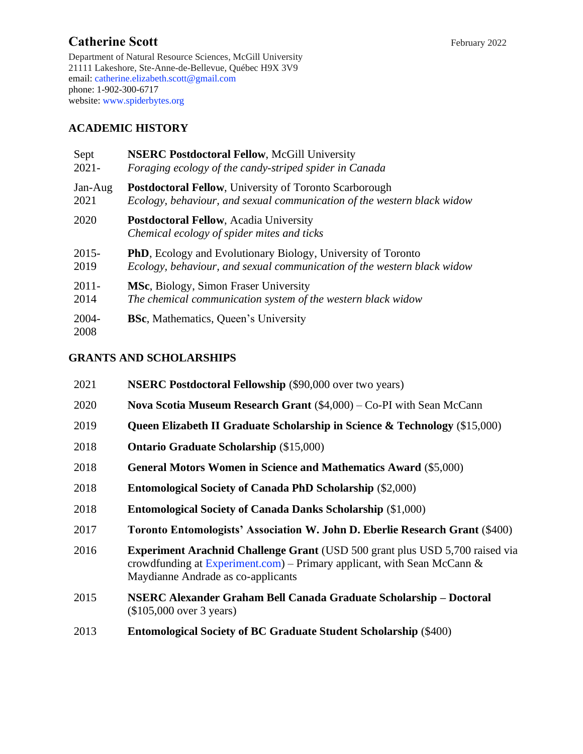# Catherine Scott February 2022

Department of Natural Resource Sciences, McGill University 21111 Lakeshore, Ste-Anne-de-Bellevue, Québec H9X 3V9 email[: catherine.elizabeth.scott@gmail.com](mailto:catherine.elizabeth.scott@gmail.com) phone: 1-902-300-6717 website: [www.spiderbytes.org](http://www.spiderbytes.org/)

# **ACADEMIC HISTORY**

| Sept             | <b>NSERC Postdoctoral Fellow, McGill University</b>                                         |
|------------------|---------------------------------------------------------------------------------------------|
| $2021 -$         | Foraging ecology of the candy-striped spider in Canada                                      |
| Jan-Aug          | <b>Postdoctoral Fellow, University of Toronto Scarborough</b>                               |
| 2021             | Ecology, behaviour, and sexual communication of the western black widow                     |
| 2020             | <b>Postdoctoral Fellow, Acadia University</b><br>Chemical ecology of spider mites and ticks |
| $2015 -$         | <b>PhD</b> , Ecology and Evolutionary Biology, University of Toronto                        |
| 2019             | Ecology, behaviour, and sexual communication of the western black widow                     |
| $2011 -$         | MSc, Biology, Simon Fraser University                                                       |
| 2014             | The chemical communication system of the western black widow                                |
| $2004 -$<br>2008 | <b>BSc, Mathematics, Queen's University</b>                                                 |

# **GRANTS AND SCHOLARSHIPS**

| 2021 | <b>NSERC Postdoctoral Fellowship (\$90,000 over two years)</b>                                                                                                                                       |
|------|------------------------------------------------------------------------------------------------------------------------------------------------------------------------------------------------------|
| 2020 | <b>Nova Scotia Museum Research Grant</b> $(\$4,000) - Co-PI$ with Sean McCann                                                                                                                        |
| 2019 | Queen Elizabeth II Graduate Scholarship in Science & Technology (\$15,000)                                                                                                                           |
| 2018 | <b>Ontario Graduate Scholarship (\$15,000)</b>                                                                                                                                                       |
| 2018 | <b>General Motors Women in Science and Mathematics Award (\$5,000)</b>                                                                                                                               |
| 2018 | <b>Entomological Society of Canada PhD Scholarship (\$2,000)</b>                                                                                                                                     |
| 2018 | <b>Entomological Society of Canada Danks Scholarship (\$1,000)</b>                                                                                                                                   |
| 2017 | Toronto Entomologists' Association W. John D. Eberlie Research Grant (\$400)                                                                                                                         |
| 2016 | <b>Experiment Arachnid Challenge Grant (USD 500 grant plus USD 5,700 raised via</b><br>crowdfunding at Experiment.com) – Primary applicant, with Sean McCann &<br>Maydianne Andrade as co-applicants |
| 2015 | NSERC Alexander Graham Bell Canada Graduate Scholarship – Doctoral<br>(\$105,000 over 3 years)                                                                                                       |
| 2013 | <b>Entomological Society of BC Graduate Student Scholarship (\$400)</b>                                                                                                                              |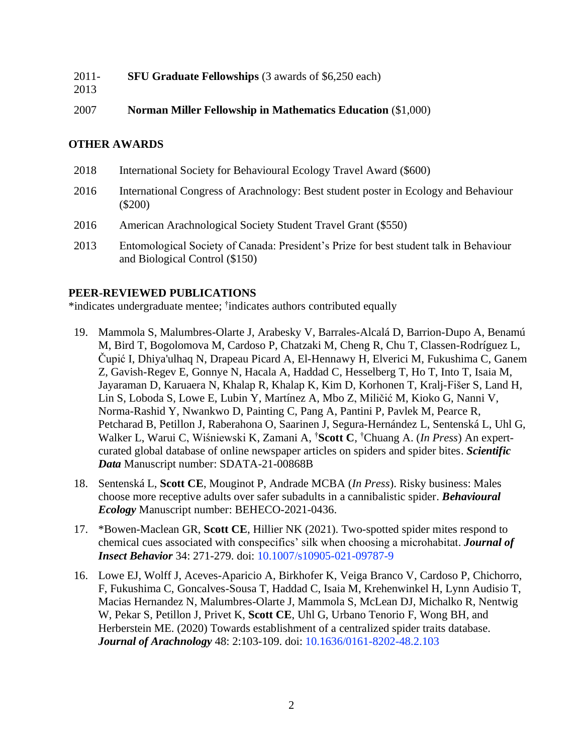| 2011- | <b>SFU Graduate Fellowships</b> (3 awards of \$6,250 each) |
|-------|------------------------------------------------------------|
|-------|------------------------------------------------------------|

2013

2007 **Norman Miller Fellowship in Mathematics Education** (\$1,000)

## **OTHER AWARDS**

- 2018 International Society for Behavioural Ecology Travel Award (\$600)
- 2016 International Congress of Arachnology: Best student poster in Ecology and Behaviour (\$200)
- 2016 American Arachnological Society Student Travel Grant (\$550)
- 2013 Entomological Society of Canada: President's Prize for best student talk in Behaviour and Biological Control (\$150)

## **PEER-REVIEWED PUBLICATIONS**

\*indicates undergraduate mentee; † indicates authors contributed equally

- 19. Mammola S, Malumbres-Olarte J, Arabesky V, Barrales-Alcalá D, Barrion-Dupo A, Benamú M, Bird T, Bogolomova M, Cardoso P, Chatzaki M, Cheng R, Chu T, Classen-Rodríguez L, Čupić I, Dhiya'ulhaq N, Drapeau Picard A, El-Hennawy H, Elverici M, Fukushima C, Ganem Z, Gavish-Regev E, Gonnye N, Hacala A, Haddad C, Hesselberg T, Ho T, Into T, Isaia M, Jayaraman D, Karuaera N, Khalap R, Khalap K, Kim D, Korhonen T, Kralj-Fišer S, Land H, Lin S, Loboda S, Lowe E, Lubin Y, Martínez A, Mbo Z, Miličić M, Kioko G, Nanni V, Norma-Rashid Y, Nwankwo D, Painting C, Pang A, Pantini P, Pavlek M, Pearce R, Petcharad B, Petillon J, Raberahona O, Saarinen J, Segura-Hernández L, Sentenská L, Uhl G, Walker L, Warui C, Wiśniewski K, Zamani A, †**Scott C**, †Chuang A. (*In Press*) An expertcurated global database of online newspaper articles on spiders and spider bites. *Scientific Data* Manuscript number: SDATA-21-00868B
- 18. Sentenská L, **Scott CE**, Mouginot P, Andrade MCBA (*In Press*). Risky business: Males choose more receptive adults over safer subadults in a cannibalistic spider. *Behavioural Ecology* Manuscript number: BEHECO-2021-0436.
- 17. \*Bowen-Maclean GR, **Scott CE**, Hillier NK (2021). Two-spotted spider mites respond to chemical cues associated with conspecifics' silk when choosing a microhabitat. *Journal of Insect Behavior* 34: 271-279. doi: [10.1007/s10905-021-09787-9](https://doi.org/10.1007/s10905-021-09787-9)
- 16. Lowe EJ, Wolff J, Aceves-Aparicio A, Birkhofer K, Veiga Branco V, Cardoso P, Chichorro, F, Fukushima C, Goncalves-Sousa T, Haddad C, Isaia M, Krehenwinkel H, Lynn Audisio T, Macias Hernandez N, Malumbres-Olarte J, Mammola S, McLean DJ, Michalko R, Nentwig W, Pekar S, Petillon J, Privet K, **Scott CE**, Uhl G, Urbano Tenorio F, Wong BH, and Herberstein ME. (2020) Towards establishment of a centralized spider traits database. *Journal of Arachnology* 48: 2:103-109. doi: [10.1636/0161-8202-48.2.103](https://doi.org/10.1636/0161-8202-48.2.103)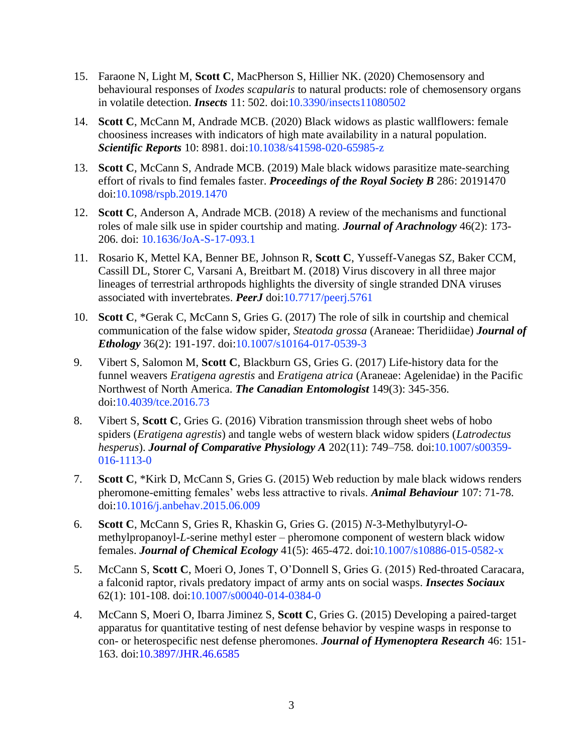- 15. Faraone N, Light M, **Scott C**, MacPherson S, Hillier NK. (2020) Chemosensory and behavioural responses of *Ixodes scapularis* to natural products: role of chemosensory organs in volatile detection. *Insects* 11: 502. doi[:10.3390/insects11080502](https://doi.org/10.3390/insects11080502)
- 14. **Scott C**, McCann M, Andrade MCB. (2020) Black widows as plastic wallflowers: female choosiness increases with indicators of high mate availability in a natural population. *Scientific Reports* 10: 8981. doi[:10.1038/s41598-020-65985-z](https://doi.org/10.1038/s41598-020-65985-z)
- 13. **Scott C**, McCann S, Andrade MCB. (2019) Male black widows parasitize mate-searching effort of rivals to find females faster. *Proceedings of the Royal Society B* 286: 20191470 doi[:10.1098/rspb.2019.1470](https://doi.org/10.1098/rspb.2019.1470)
- 12. **Scott C**, Anderson A, Andrade MCB. (2018) A review of the mechanisms and functional roles of male silk use in spider courtship and mating. *Journal of Arachnology* 46(2): 173- 206. doi: [10.1636/JoA-S-17-093.1](https://doi.org/10.1636/JoA-S-17-093.1)
- 11. Rosario K, Mettel KA, Benner BE, Johnson R, **Scott C**, Yusseff-Vanegas SZ, Baker CCM, Cassill DL, Storer C, Varsani A, Breitbart M. (2018) Virus discovery in all three major lineages of terrestrial arthropods highlights the diversity of single stranded DNA viruses associated with invertebrates. *PeerJ* doi[:10.7717/peerj.5761](https://peerj.com/articles/5761/)
- 10. **Scott C**, \*Gerak C, McCann S, Gries G. (2017) The role of silk in courtship and chemical communication of the false widow spider, *Steatoda grossa* (Araneae: Theridiidae) *Journal of Ethology* 36(2): 191-197. doi[:10.1007/s10164-017-0539-3](https://link.springer.com/article/10.1007/s10164-017-0539-3)
- 9. Vibert S, Salomon M, **Scott C**, Blackburn GS, Gries G. (2017) Life-history data for the funnel weavers *Eratigena agrestis* and *Eratigena atrica* (Araneae: Agelenidae) in the Pacific Northwest of North America. *The Canadian Entomologist* 149(3): 345-356. doi[:10.4039/tce.2016.73](http://dx.doi.org/10.4039/tce.2016.73)
- 8. Vibert S, **Scott C**, Gries G. (2016) Vibration transmission through sheet webs of hobo spiders (*Eratigena agrestis*) and tangle webs of western black widow spiders (*Latrodectus hesperus*). *Journal of Comparative Physiology A* 202(11): 749–758*.* doi[:10.1007/s00359-](http://link.springer.com/article/10.1007/s00359-016-1113-0) [016-1113-0](http://link.springer.com/article/10.1007/s00359-016-1113-0)
- 7. **Scott C**, \*Kirk D, McCann S, Gries G. (2015) Web reduction by male black widows renders pheromone-emitting females' webs less attractive to rivals. *Animal Behaviour* 107: 71-78. doi[:10.1016/j.anbehav.2015.06.009](http://www.sciencedirect.com/science/article/pii/S0003347215002262)
- 6. **Scott C**, McCann S, Gries R, Khaskin G, Gries G. (2015) *N*-3-Methylbutyryl-*O*methylpropanoyl-*L*-serine methyl ester – pheromone component of western black widow females. *Journal of Chemical Ecology* 41(5): 465-472. doi[:10.1007/s10886-015-0582-x](http://link.springer.com/article/10.1007/s10886-015-0582-xg=AOvVaw2Ld6eaPyjaBLchNjp-hqrN)
- 5. McCann S, **Scott C**, Moeri O, Jones T, O'Donnell S, Gries G. (2015) Red-throated Caracara, a falconid raptor, rivals predatory impact of army ants on social wasps. *Insectes Sociaux* 62(1): 101-108. doi[:10.1007/s00040-014-0384-0](http://link.springer.com/article/10.1007/s00040-014-0384-0)
- 4. McCann S, Moeri O, Ibarra Jiminez S, **Scott C**, Gries G. (2015) Developing a paired-target apparatus for quantitative testing of nest defense behavior by vespine wasps in response to con- or heterospecific nest defense pheromones. *Journal of Hymenoptera Research* 46: 151- 163. doi[:10.3897/JHR.46.6585](http://jhr.pensoft.net/articles.php?id=6585)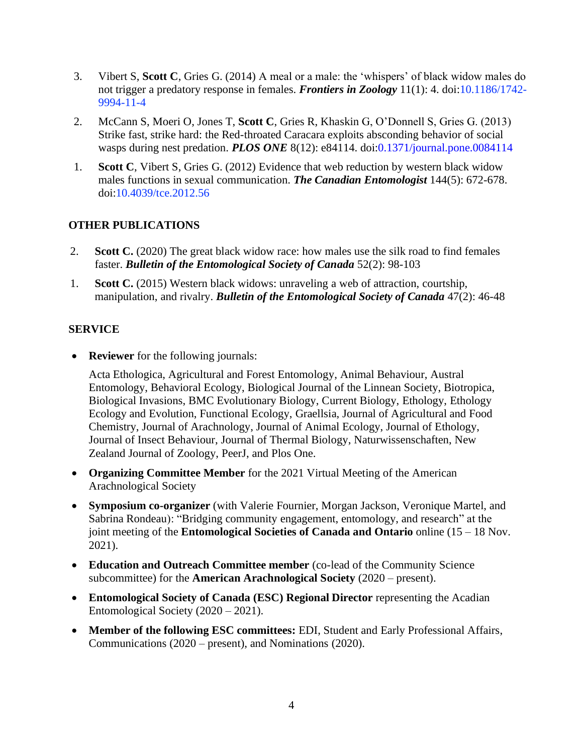- 3. Vibert S, **Scott C**, Gries G. (2014) A meal or a male: the 'whispers' of black widow males do not trigger a predatory response in females. *Frontiers in Zoology* 11(1): 4. doi[:10.1186/1742-](https://doi.org/doi:10.1186/1742-9994-11-4) [9994-11-4](https://doi.org/doi:10.1186/1742-9994-11-4)
- 2. McCann S, Moeri O, Jones T, **Scott C**, Gries R, Khaskin G, O'Donnell S, Gries G. (2013) Strike fast, strike hard: the Red-throated Caracara exploits absconding behavior of social wasps during nest predation. *PLOS ONE* 8(12): e84114. doi[:0.1371/journal.pone.0084114](http://www.plosone.org/article/info%3Adoi%2F10.1371%2Fjournal.pone.0084114)
- 1. **Scott C**, Vibert S, Gries G. (2012) Evidence that web reduction by western black widow males functions in sexual communication. *The Canadian Entomologist* 144(5): 672-678. doi[:10.4039/tce.2012.56](http://dx.doi.org/10.4039/tce.2012.56)

# **OTHER PUBLICATIONS**

- 2. **Scott C.** (2020) The great black widow race: how males use the silk road to find females faster. *Bulletin of the Entomological Society of Canada* 52(2): 98-103
- 1. **Scott C.** (2015) Western black widows: unraveling a web of attraction, courtship, manipulation, and rivalry. *Bulletin of the Entomological Society of Canada* 47(2): 46-48

## **SERVICE**

• **Reviewer** for the following journals:

Acta Ethologica, Agricultural and Forest Entomology, Animal Behaviour, Austral Entomology, Behavioral Ecology, Biological Journal of the Linnean Society, Biotropica, Biological Invasions, BMC Evolutionary Biology, Current Biology, Ethology, Ethology Ecology and Evolution, Functional Ecology, Graellsia, Journal of Agricultural and Food Chemistry, Journal of Arachnology, Journal of Animal Ecology, Journal of Ethology, Journal of Insect Behaviour, Journal of Thermal Biology, Naturwissenschaften, New Zealand Journal of Zoology, PeerJ, and Plos One.

- **Organizing Committee Member** for the 2021 Virtual Meeting of the American Arachnological Society
- **Symposium co-organizer** (with Valerie Fournier, Morgan Jackson, Veronique Martel, and Sabrina Rondeau): "Bridging community engagement, entomology, and research" at the joint meeting of the **Entomological Societies of Canada and Ontario** online (15 – 18 Nov. 2021).
- **Education and Outreach Committee member** (co-lead of the Community Science subcommittee) for the **American Arachnological Society** (2020 – present).
- **Entomological Society of Canada (ESC) Regional Director** representing the Acadian Entomological Society (2020 – 2021).
- **Member of the following ESC committees:** EDI, Student and Early Professional Affairs, Communications (2020 – present), and Nominations (2020).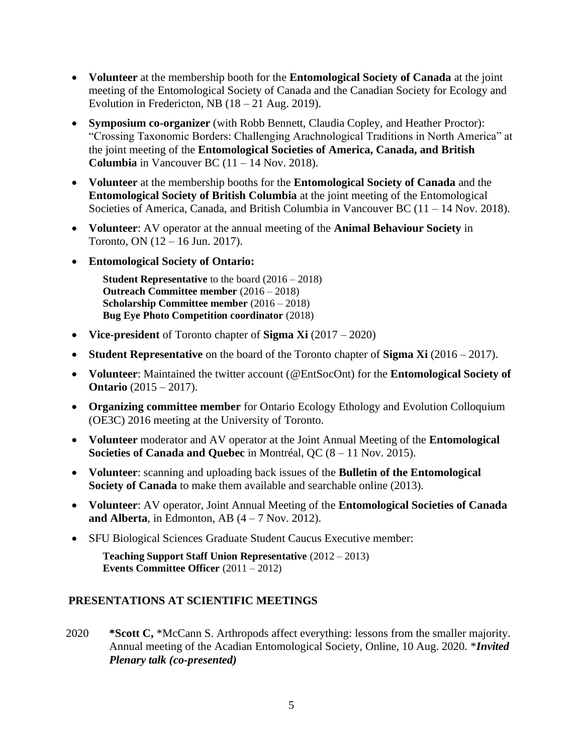- **Volunteer** at the membership booth for the **Entomological Society of Canada** at the joint meeting of the Entomological Society of Canada and the Canadian Society for Ecology and Evolution in Fredericton, NB  $(18 - 21 \text{ Aug. } 2019)$ .
- **Symposium co-organizer** (with Robb Bennett, Claudia Copley, and Heather Proctor): "Crossing Taxonomic Borders: Challenging Arachnological Traditions in North America" at the joint meeting of the **Entomological Societies of America, Canada, and British Columbia** in Vancouver BC  $(11 - 14$  Nov. 2018).
- **Volunteer** at the membership booths for the **Entomological Society of Canada** and the **Entomological Society of British Columbia** at the joint meeting of the Entomological Societies of America, Canada, and British Columbia in Vancouver BC (11 – 14 Nov. 2018).
- **Volunteer**: AV operator at the annual meeting of the **Animal Behaviour Society** in Toronto, ON (12 – 16 Jun. 2017).
- **Entomological Society of Ontario:**

**Student Representative** to the board (2016 – 2018) **Outreach Committee member** (2016 – 2018) **Scholarship Committee member** (2016 – 2018) **Bug Eye Photo Competition coordinator** (2018)

- **Vice-president** of Toronto chapter of **Sigma Xi** (2017 2020)
- **Student Representative** on the board of the Toronto chapter of **Sigma Xi** (2016 2017).
- **Volunteer**: Maintained the twitter account [\(@EntSocOnt\)](https://twitter.com/EntSocOnt) for the **Entomological Society of Ontario** (2015 – 2017).
- **Organizing committee member** for Ontario Ecology Ethology and Evolution Colloquium (OE3C) 2016 meeting at the University of Toronto.
- **Volunteer** moderator and AV operator at the Joint Annual Meeting of the **Entomological Societies of Canada and Quebec** in Montréal, QC (8 – 11 Nov. 2015).
- **Volunteer**: scanning and uploading back issues of the **Bulletin of the Entomological Society of Canada** to make them available and searchable online (2013).
- **Volunteer**: AV operator, Joint Annual Meeting of the **Entomological Societies of Canada and Alberta**, in Edmonton, AB  $(4 - 7$  Nov. 2012).
- SFU Biological Sciences Graduate Student Caucus Executive member:

**Teaching Support Staff Union Representative** (2012 – 2013) **Events Committee Officer** (2011 – 2012)

#### **PRESENTATIONS AT SCIENTIFIC MEETINGS**

2020 **\*Scott C,** \*McCann S. Arthropods affect everything: lessons from the smaller majority. Annual meeting of the Acadian Entomological Society, Online, 10 Aug. 2020. \**Invited Plenary talk (co-presented)*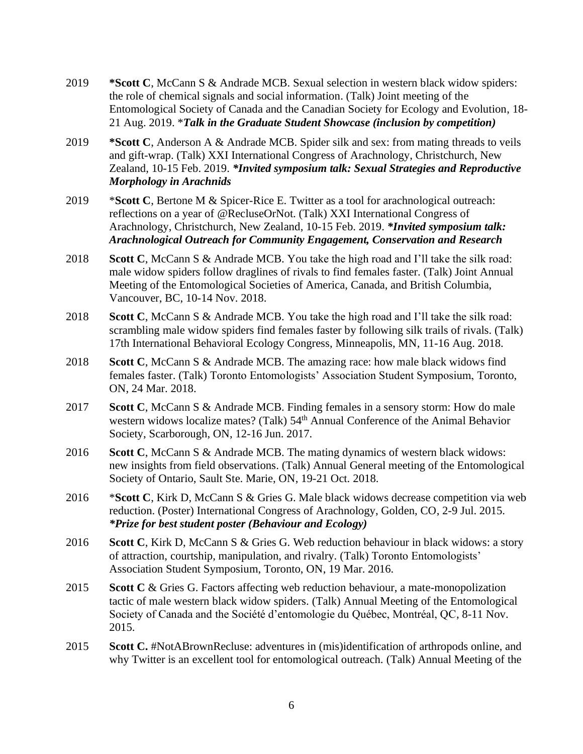- 2019 **\*Scott C**, McCann S & Andrade MCB. Sexual selection in western black widow spiders: the role of chemical signals and social information. (Talk) Joint meeting of the Entomological Society of Canada and the Canadian Society for Ecology and Evolution, 18- 21 Aug. 2019. \**Talk in the Graduate Student Showcase (inclusion by competition)*
- 2019 **\*Scott C**, Anderson A & Andrade MCB. Spider silk and sex: from mating threads to veils and gift-wrap. (Talk) XXI International Congress of Arachnology, Christchurch, New Zealand, 10-15 Feb. 2019. *\*Invited symposium talk: Sexual Strategies and Reproductive Morphology in Arachnids*
- 2019 \***Scott C**, Bertone M & Spicer-Rice E. Twitter as a tool for arachnological outreach: reflections on a year of @RecluseOrNot. (Talk) XXI International Congress of Arachnology, Christchurch, New Zealand, 10-15 Feb. 2019. *\*Invited symposium talk: Arachnological Outreach for Community Engagement, Conservation and Research*
- 2018 **Scott C**, McCann S & Andrade MCB. You take the high road and I'll take the silk road: male widow spiders follow draglines of rivals to find females faster. (Talk) Joint Annual Meeting of the Entomological Societies of America, Canada, and British Columbia, Vancouver, BC, 10-14 Nov. 2018.
- 2018 **Scott C**, McCann S & Andrade MCB. You take the high road and I'll take the silk road: scrambling male widow spiders find females faster by following silk trails of rivals. (Talk) 17th International Behavioral Ecology Congress, Minneapolis, MN, 11-16 Aug. 2018.
- 2018 **Scott C**, McCann S & Andrade MCB. The amazing race: how male black widows find females faster. (Talk) Toronto Entomologists' Association Student Symposium, Toronto, ON, 24 Mar. 2018.
- 2017 **Scott C**, McCann S & Andrade MCB. Finding females in a sensory storm: How do male western widows localize mates? (Talk) 54<sup>th</sup> Annual Conference of the Animal Behavior Society, Scarborough, ON, 12-16 Jun. 2017.
- 2016 **Scott C**, McCann S & Andrade MCB. The mating dynamics of western black widows: new insights from field observations. (Talk) Annual General meeting of the Entomological Society of Ontario, Sault Ste. Marie, ON, 19-21 Oct. 2018.
- 2016 \***Scott C**, Kirk D, McCann S & Gries G. Male black widows decrease competition via web reduction. (Poster) International Congress of Arachnology, Golden, CO, 2-9 Jul. 2015. *\*Prize for best student poster (Behaviour and Ecology)*
- 2016 **Scott C**, Kirk D, McCann S & Gries G. Web reduction behaviour in black widows: a story of attraction, courtship, manipulation, and rivalry. (Talk) Toronto Entomologists' Association Student Symposium, Toronto, ON, 19 Mar. 2016.
- 2015 **Scott C** & Gries G. Factors affecting web reduction behaviour, a mate-monopolization tactic of male western black widow spiders. (Talk) Annual Meeting of the Entomological Society of Canada and the Société d'entomologie du Québec, Montréal, QC, 8-11 Nov. 2015.
- 2015 **Scott C.** #NotABrownRecluse: adventures in (mis)identification of arthropods online, and why Twitter is an excellent tool for entomological outreach. (Talk) Annual Meeting of the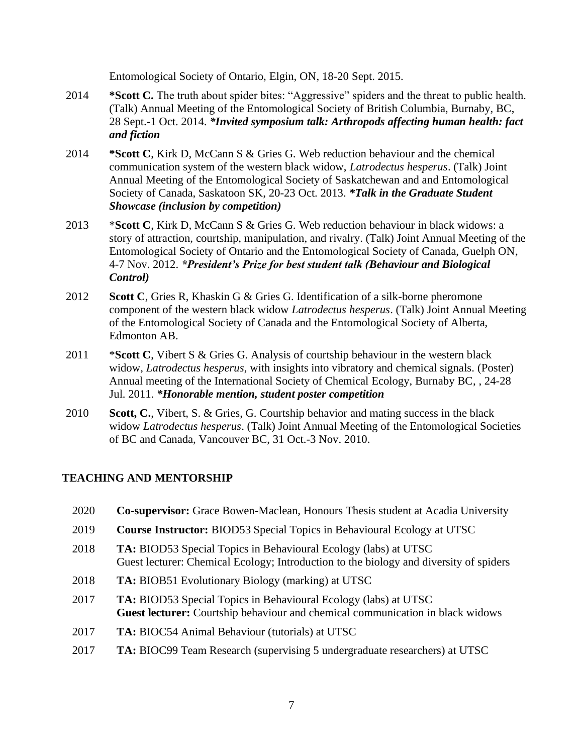Entomological Society of Ontario, Elgin, ON, 18-20 Sept. 2015.

- 2014 **\*Scott C.** The truth about spider bites: "Aggressive" spiders and the threat to public health. (Talk) Annual Meeting of the Entomological Society of British Columbia, Burnaby, BC, 28 Sept.-1 Oct. 2014. *\*Invited symposium talk: Arthropods affecting human health: fact and fiction*
- 2014 **\*Scott C**, Kirk D, McCann S & Gries G. Web reduction behaviour and the chemical communication system of the western black widow, *Latrodectus hesperus*. (Talk) Joint Annual Meeting of the Entomological Society of Saskatchewan and and Entomological Society of Canada, Saskatoon SK, 20-23 Oct. 2013. *\*Talk in the Graduate Student Showcase (inclusion by competition)*
- 2013 \***Scott C**, Kirk D, McCann S & Gries G. Web reduction behaviour in black widows: a story of attraction, courtship, manipulation, and rivalry. (Talk) Joint Annual Meeting of the Entomological Society of Ontario and the Entomological Society of Canada, Guelph ON, 4-7 Nov. 2012. *\*President's Prize for best student talk (Behaviour and Biological Control)*
- 2012 **Scott C**, Gries R, Khaskin G & Gries G. Identification of a silk-borne pheromone component of the western black widow *Latrodectus hesperus*. (Talk) Joint Annual Meeting of the Entomological Society of Canada and the Entomological Society of Alberta, Edmonton AB.
- 2011 \***Scott C**, Vibert S & Gries G. Analysis of courtship behaviour in the western black widow, *Latrodectus hesperus*, with insights into vibratory and chemical signals. (Poster) Annual meeting of the International Society of Chemical Ecology, Burnaby BC, , 24-28 Jul. 2011. *\*Honorable mention, student poster competition*
- 2010 **Scott, C.**, Vibert, S. & Gries, G. Courtship behavior and mating success in the black widow *Latrodectus hesperus*. (Talk) Joint Annual Meeting of the Entomological Societies of BC and Canada, Vancouver BC, 31 Oct.-3 Nov. 2010.

## **TEACHING AND MENTORSHIP**

- 2020 **Co-supervisor:** Grace Bowen-Maclean, Honours Thesis student at Acadia University
- 2019 **Course Instructor:** BIOD53 Special Topics in Behavioural Ecology at UTSC
- 2018 **TA:** BIOD53 Special Topics in Behavioural Ecology (labs) at UTSC Guest lecturer: Chemical Ecology; Introduction to the biology and diversity of spiders
- 2018 **TA:** BIOB51 Evolutionary Biology (marking) at UTSC
- 2017 **TA:** BIOD53 Special Topics in Behavioural Ecology (labs) at UTSC **Guest lecturer:** Courtship behaviour and chemical communication in black widows
- 2017 **TA:** BIOC54 Animal Behaviour (tutorials) at UTSC
- 2017 **TA:** BIOC99 Team Research (supervising 5 undergraduate researchers) at UTSC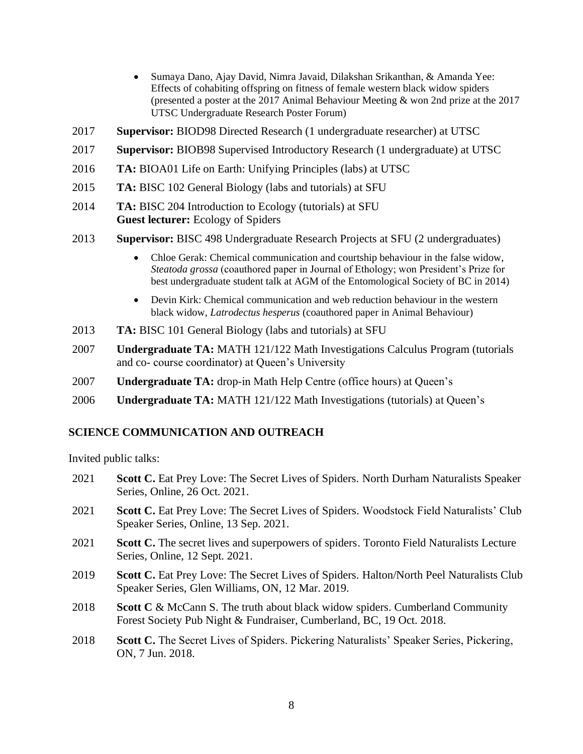- Sumaya Dano, Ajay David, Nimra Javaid, Dilakshan Srikanthan, & Amanda Yee: Effects of cohabiting offspring on fitness of female western black widow spiders (presented a poster at the 2017 Animal Behaviour Meeting & won 2nd prize at the 2017 UTSC Undergraduate Research Poster Forum)
- 2017 **Supervisor:** BIOD98 Directed Research (1 undergraduate researcher) at UTSC
- 2017 **Supervisor:** BIOB98 Supervised Introductory Research (1 undergraduate) at UTSC
- 2016 **TA:** BIOA01 Life on Earth: Unifying Principles (labs) at UTSC
- 2015 **TA:** BISC 102 General Biology (labs and tutorials) at SFU
- 2014 **TA:** BISC 204 Introduction to Ecology (tutorials) at SFU **Guest lecturer:** Ecology of Spiders
- 2013 **Supervisor:** BISC 498 Undergraduate Research Projects at SFU (2 undergraduates)
	- Chloe Gerak: Chemical communication and courtship behaviour in the false widow, *Steatoda grossa* (coauthored paper in Journal of Ethology; won President's Prize for best undergraduate student talk at AGM of the Entomological Society of BC in 2014)
	- Devin Kirk: Chemical communication and web reduction behaviour in the western black widow, *Latrodectus hesperus* (coauthored paper in Animal Behaviour)
- 2013 **TA:** BISC 101 General Biology (labs and tutorials) at SFU
- 2007 **Undergraduate TA:** MATH 121/122 Math Investigations Calculus Program (tutorials and co- course coordinator) at Queen's University
- 2007 **Undergraduate TA:** drop-in Math Help Centre (office hours) at Queen's
- 2006 **Undergraduate TA:** MATH 121/122 Math Investigations (tutorials) at Queen's

#### **SCIENCE COMMUNICATION AND OUTREACH**

Invited public talks:

- 2021 **Scott C.** Eat Prey Love: The Secret Lives of Spiders. North Durham Naturalists Speaker Series, Online, 26 Oct. 2021.
- 2021 **Scott C.** Eat Prey Love: The Secret Lives of Spiders. Woodstock Field Naturalists' Club Speaker Series, Online, 13 Sep. 2021.
- 2021 **Scott C.** The secret lives and superpowers of spiders. Toronto Field Naturalists Lecture Series, Online, 12 Sept. 2021.
- 2019 **Scott C.** Eat Prey Love: The Secret Lives of Spiders. Halton/North Peel Naturalists Club Speaker Series, Glen Williams, ON, 12 Mar. 2019.
- 2018 **Scott C** & McCann S. The truth about black widow spiders. Cumberland Community Forest Society Pub Night & Fundraiser, Cumberland, BC, 19 Oct. 2018.
- 2018 **Scott C.** The Secret Lives of Spiders. Pickering Naturalists' Speaker Series, Pickering, ON, 7 Jun. 2018.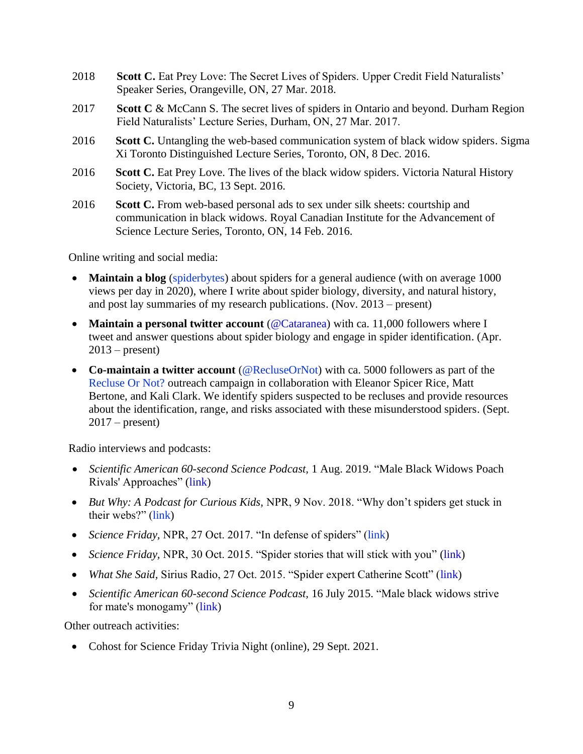- 2018 **Scott C.** Eat Prey Love: The Secret Lives of Spiders. Upper Credit Field Naturalists' Speaker Series, Orangeville, ON, 27 Mar. 2018.
- 2017 **Scott C** & McCann S. The secret lives of spiders in Ontario and beyond. Durham Region Field Naturalists' Lecture Series, Durham, ON, 27 Mar. 2017.
- 2016 **Scott C.** Untangling the web-based communication system of black widow spiders. Sigma Xi Toronto Distinguished Lecture Series, Toronto, ON, 8 Dec. 2016.
- 2016 **Scott C.** Eat Prey Love. The lives of the black widow spiders. Victoria Natural History Society, Victoria, BC, 13 Sept. 2016.
- 2016 **Scott C.** From web-based personal ads to sex under silk sheets: courtship and communication in black widows. Royal Canadian Institute for the Advancement of Science Lecture Series, Toronto, ON, 14 Feb. 2016.

Online writing and social media:

- **Maintain a blog** [\(spiderbytes\)](http://spiderbytes.org/) about spiders for a general audience (with on average 1000 views per day in 2020), where I write about spider biology, diversity, and natural history, and post lay summaries of my research publications. (Nov. 2013 – present)
- **Maintain a personal twitter account** [\(@Cataranea\)](https://twitter.com/Cataranea) with ca. 11,000 followers where I tweet and answer questions about spider biology and engage in spider identification. (Apr.  $2013$  – present)
- **Co-maintain a twitter account** [\(@RecluseOrNot\)](https://twitter.com/RecluseOrNot) with ca. 5000 followers as part of the [Recluse Or Not?](http://spiderbytes.org/recluse-or-not/) outreach campaign in collaboration with Eleanor Spicer Rice, Matt Bertone, and Kali Clark. We identify spiders suspected to be recluses and provide resources about the identification, range, and risks associated with these misunderstood spiders. (Sept. 2017 – present)

Radio interviews and podcasts:

- *Scientific American 60-second Science Podcast,* 1 Aug. 2019. "Male Black Widows Poach Rivals' Approaches" [\(link\)](https://www.scientificamerican.com/podcast/episode/male-black-widows-poach-rivals-approaches/)
- *But Why: A Podcast for Curious Kids,* NPR, 9 Nov. 2018. "Why don't spiders get stuck in their webs?" [\(link\)](http://digital.vpr.net/post/why-dont-spiders-get-stuck-their-webs#stream/0)
- *Science Friday, NPR, 27 Oct. 2017.* "In defense of spiders" [\(link\)](https://www.sciencefriday.com/segments/in-defense-of-spiders/)
- *Science Friday*, NPR, 30 Oct. 2015. "Spider stories that will stick with you" [\(link\)](http://www.sciencefriday.com/segments/spider-stories-thatll-stick-with-you/)
- *What She Said, Sirius Radio, 27 Oct. 2015.* "Spider expert Catherine Scott" [\(link\)](https://soundcloud.com/whatshesaid167/spider-expert-catherine-scott)
- *Scientific American 60-second Science Podcast,* 16 July 2015. "Male black widows strive for mate's monogamy" [\(link\)](http://www.scientificamerican.com/podcast/episode/male-black-widows-strive-for-mate-s-monogamy/)

Other outreach activities:

• Cohost for Science Friday Trivia Night (online), 29 Sept. 2021.